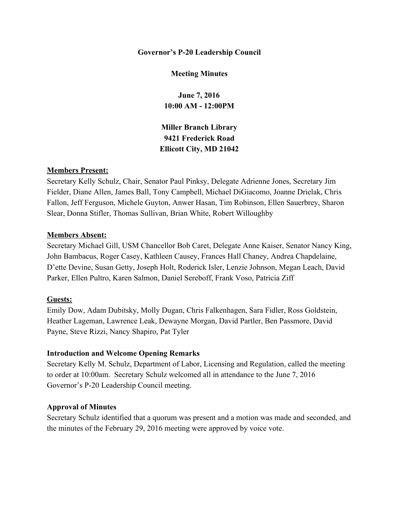#### **Governor's P20 Leadership Council**

**Meeting Minutes** 

**June 7, 2016 10:00 AM 12:00PM** 

**Miller Branch Library 9421 Frederick Road Ellicott City, MD 21042** 

#### **Members Present:**

Secretary Kelly Schulz, Chair, Senator Paul Pinksy, Delegate Adrienne Jones, Secretary Jim Fielder, Diane Allen, James Ball, Tony Campbell, Michael DiGiacomo, Joanne Drielak, Chris Fallon, Jeff Ferguson, Michele Guyton, Anwer Hasan, Tim Robinson, Ellen Sauerbrey, Sharon Slear, Donna Stifler, Thomas Sullivan, Brian White, Robert Willoughby

#### **Members Absent:**

Secretary Michael Gill, USM Chancellor Bob Caret, Delegate Anne Kaiser, Senator Nancy King, John Bambacus, Roger Casey, Kathleen Causey, Frances Hall Chaney, Andrea Chapdelaine, D'ette Devine, Susan Getty, Joseph Holt, Roderick Isler, Lenzie Johnson, Megan Leach, David Parker, Ellen Pultro, Karen Salmon, Daniel Sereboff, Frank Voso, Patricia Ziff

#### **Guests:**

Emily Dow, Adam Dubitsky, Molly Dugan, Chris Falkenhagen, Sara Fidler, Ross Goldstein, Heather Lageman, Lawrence Leak, Dewayne Morgan, David Partler, Ben Passmore, David Payne, Steve Rizzi, Nancy Shapiro, Pat Tyler

#### **Introduction and Welcome Opening Remarks**

Secretary Kelly M. Schulz, Department of Labor, Licensing and Regulation, called the meeting to order at 10:00am. Secretary Schulz welcomed all in attendance to the June 7, 2016 Governor's P-20 Leadership Council meeting.

#### **Approval of Minutes**

Secretary Schulz identified that a quorum was present and a motion was made and seconded, and the minutes of the February 29, 2016 meeting were approved by voice vote.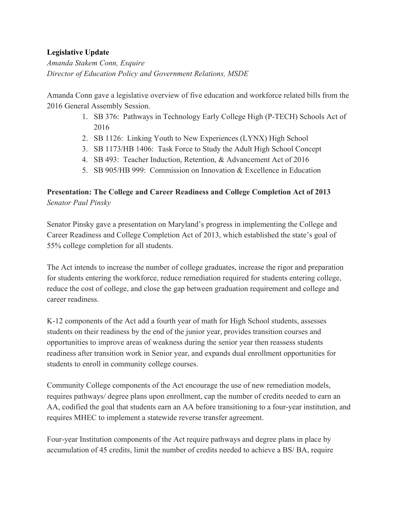# **Legislative Update**

*Amanda Stakem Conn, Esquire Director of Education Policy and Government Relations, MSDE* 

Amanda Conn gave a legislative overview of five education and workforce related bills from the 2016 General Assembly Session.

- 1. SB 376: Pathways in Technology Early College High (P-TECH) Schools Act of 2016
- 2. SB 1126: Linking Youth to New Experiences (LYNX) High School
- 3. SB 1173/HB 1406: Task Force to Study the Adult High School Concept
- 4. SB 493: Teacher Induction, Retention, & Advancement Act of 2016
- 5. SB 905/HB 999: Commission on Innovation & Excellence in Education

# **Presentation: The College and Career Readiness and College Completion Act of 2013** *Senator Paul Pinsky*

Senator Pinsky gave a presentation on Maryland's progress in implementing the College and Career Readiness and College Completion Act of 2013, which established the state's goal of 55% college completion for all students.

The Act intends to increase the number of college graduates, increase the rigor and preparation for students entering the workforce, reduce remediation required for students entering college, reduce the cost of college, and close the gap between graduation requirement and college and career readiness.

K-12 components of the Act add a fourth year of math for High School students, assesses students on their readiness by the end of the junior year, provides transition courses and opportunities to improve areas of weakness during the senior year then reassess students readiness after transition work in Senior year, and expands dual enrollment opportunities for students to enroll in community college courses.

Community College components of the Act encourage the use of new remediation models, requires pathways/ degree plans upon enrollment, cap the number of credits needed to earn an AA, codified the goal that students earn an AA before transitioning to a four-year institution, and requires MHEC to implement a statewide reverse transfer agreement.

Four-year Institution components of the Act require pathways and degree plans in place by accumulation of 45 credits, limit the number of credits needed to achieve a BS/ BA, require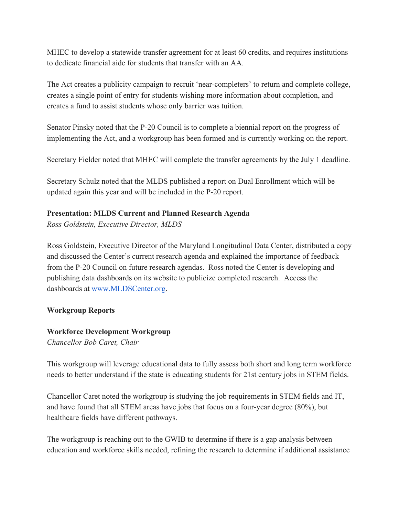MHEC to develop a statewide transfer agreement for at least 60 credits, and requires institutions to dedicate financial aide for students that transfer with an AA.

The Act creates a publicity campaign to recruit 'near-completers' to return and complete college, creates a single point of entry for students wishing more information about completion, and creates a fund to assist students whose only barrier was tuition.

Senator Pinsky noted that the P-20 Council is to complete a biennial report on the progress of implementing the Act, and a workgroup has been formed and is currently working on the report.

Secretary Fielder noted that MHEC will complete the transfer agreements by the July 1 deadline.

Secretary Schulz noted that the MLDS published a report on Dual Enrollment which will be updated again this year and will be included in the P-20 report.

## **Presentation: MLDS Current and Planned Research Agenda**

*Ross Goldstein, Executive Director, MLDS* 

Ross Goldstein, Executive Director of the Maryland Longitudinal Data Center, distributed a copy and discussed the Center's current research agenda and explained the importance of feedback from the P20 Council on future research agendas. Ross noted the Center is developing and publishing data dashboards on its website to publicize completed research. Access the dashboards at [www.MLDSCenter.org.](http://www.mldscenter.org/)

## **Workgroup Reports**

## **Workforce Development Workgroup**

*Chancellor Bob Caret, Chair* 

This workgroup will leverage educational data to fully assess both short and long term workforce needs to better understand if the state is educating students for 21st century jobs in STEM fields.

Chancellor Caret noted the workgroup is studying the job requirements in STEM fields and IT, and have found that all STEM areas have jobs that focus on a four-year degree (80%), but healthcare fields have different pathways.

The workgroup is reaching out to the GWIB to determine if there is a gap analysis between education and workforce skills needed, refining the research to determine if additional assistance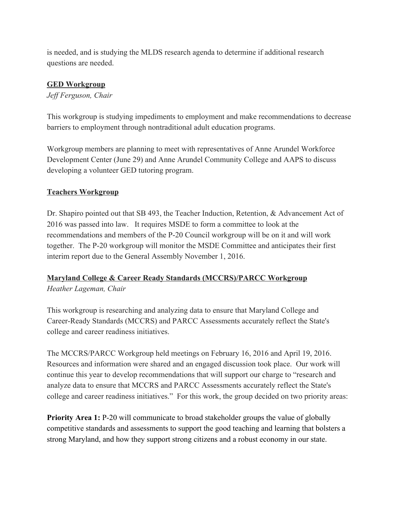is needed, and is studying the MLDS research agenda to determine if additional research questions are needed.

# **GED Workgroup**

*Jeff Ferguson, Chair* 

This workgroup is studying impediments to employment and make recommendations to decrease barriers to employment through nontraditional adult education programs.

Workgroup members are planning to meet with representatives of Anne Arundel Workforce Development Center (June 29) and Anne Arundel Community College and AAPS to discuss developing a volunteer GED tutoring program.

# **Teachers Workgroup**

Dr. Shapiro pointed out that SB 493, the Teacher Induction, Retention, & Advancement Act of 2016 was passed into law. It requires MSDE to form a committee to look at the recommendations and members of the P20 Council workgroup will be on it and will work together. The P20 workgroup will monitor the MSDE Committee and anticipates their first interim report due to the General Assembly November 1, 2016.

# **Maryland College & Career Ready Standards (MCCRS)/PARCC Workgroup**

*Heather Lageman, Chair* 

This workgroup is researching and analyzing data to ensure that Maryland College and Career-Ready Standards (MCCRS) and PARCC Assessments accurately reflect the State's college and career readiness initiatives.

The MCCRS/PARCC Workgroup held meetings on February 16, 2016 and April 19, 2016. Resources and information were shared and an engaged discussion took place. Our work will continue this year to develop recommendations that will support our charge to "research and analyze data to ensure that MCCRS and PARCC Assessments accurately reflect the State's college and career readiness initiatives." For this work, the group decided on two priority areas:

**Priority Area 1:** P-20 will communicate to broad stakeholder groups the value of globally competitive standards and assessments to support the good teaching and learning that bolsters a strong Maryland, and how they support strong citizens and a robust economy in our state.